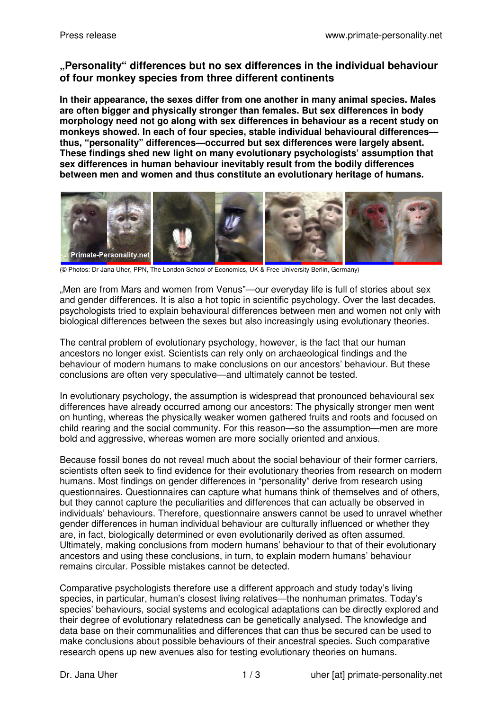## **"Personality" differences but no sex differences in the individual behaviour of four monkey species from three different continents**

**In their appearance, the sexes differ from one another in many animal species. Males are often bigger and physically stronger than females. But sex differences in body morphology need not go along with sex differences in behaviour as a recent study on monkeys showed. In each of four species, stable individual behavioural differences thus, "personality" differences—occurred but sex differences were largely absent. These findings shed new light on many evolutionary psychologists' assumption that sex differences in human behaviour inevitably result from the bodily differences between men and women and thus constitute an evolutionary heritage of humans.** 



(© Photos: Dr Jana Uher, PPN, The London School of Economics, UK & Free University Berlin, Germany)

"Men are from Mars and women from Venus"—our everyday life is full of stories about sex and gender differences. It is also a hot topic in scientific psychology. Over the last decades, psychologists tried to explain behavioural differences between men and women not only with biological differences between the sexes but also increasingly using evolutionary theories.

The central problem of evolutionary psychology, however, is the fact that our human ancestors no longer exist. Scientists can rely only on archaeological findings and the behaviour of modern humans to make conclusions on our ancestors' behaviour. But these conclusions are often very speculative—and ultimately cannot be tested.

In evolutionary psychology, the assumption is widespread that pronounced behavioural sex differences have already occurred among our ancestors: The physically stronger men went on hunting, whereas the physically weaker women gathered fruits and roots and focused on child rearing and the social community. For this reason—so the assumption—men are more bold and aggressive, whereas women are more socially oriented and anxious.

Because fossil bones do not reveal much about the social behaviour of their former carriers, scientists often seek to find evidence for their evolutionary theories from research on modern humans. Most findings on gender differences in "personality" derive from research using questionnaires. Questionnaires can capture what humans think of themselves and of others, but they cannot capture the peculiarities and differences that can actually be observed in individuals' behaviours. Therefore, questionnaire answers cannot be used to unravel whether gender differences in human individual behaviour are culturally influenced or whether they are, in fact, biologically determined or even evolutionarily derived as often assumed. Ultimately, making conclusions from modern humans' behaviour to that of their evolutionary ancestors and using these conclusions, in turn, to explain modern humans' behaviour remains circular. Possible mistakes cannot be detected.

Comparative psychologists therefore use a different approach and study today's living species, in particular, human's closest living relatives—the nonhuman primates. Today's species' behaviours, social systems and ecological adaptations can be directly explored and their degree of evolutionary relatedness can be genetically analysed. The knowledge and data base on their communalities and differences that can thus be secured can be used to make conclusions about possible behaviours of their ancestral species. Such comparative research opens up new avenues also for testing evolutionary theories on humans.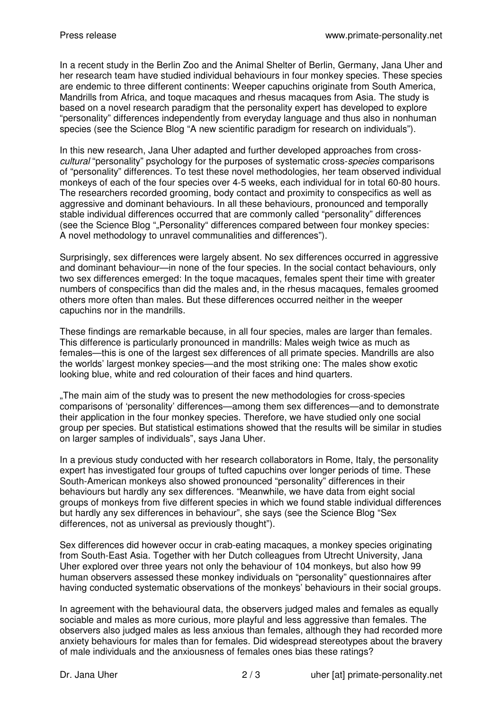In a recent study in the Berlin Zoo and the Animal Shelter of Berlin, Germany, Jana Uher and her research team have studied individual behaviours in four monkey species. These species are endemic to three different continents: Weeper capuchins originate from South America, Mandrills from Africa, and toque macaques and rhesus macaques from Asia. The study is based on a novel research paradigm that the personality expert has developed to explore "personality" differences independently from everyday language and thus also in nonhuman species (see the Science Blog "A new scientific paradigm for research on individuals").

In this new research, Jana Uher adapted and further developed approaches from cross*cultural* "personality" psychology for the purposes of systematic cross-*species* comparisons of "personality" differences. To test these novel methodologies, her team observed individual monkeys of each of the four species over 4-5 weeks, each individual for in total 60-80 hours. The researchers recorded grooming, body contact and proximity to conspecifics as well as aggressive and dominant behaviours. In all these behaviours, pronounced and temporally stable individual differences occurred that are commonly called "personality" differences (see the Science Blog ", Personality" differences compared between four monkey species: A novel methodology to unravel communalities and differences").

Surprisingly, sex differences were largely absent. No sex differences occurred in aggressive and dominant behaviour—in none of the four species. In the social contact behaviours, only two sex differences emerged: In the toque macaques, females spent their time with greater numbers of conspecifics than did the males and, in the rhesus macaques, females groomed others more often than males. But these differences occurred neither in the weeper capuchins nor in the mandrills.

These findings are remarkable because, in all four species, males are larger than females. This difference is particularly pronounced in mandrills: Males weigh twice as much as females—this is one of the largest sex differences of all primate species. Mandrills are also the worlds' largest monkey species—and the most striking one: The males show exotic looking blue, white and red colouration of their faces and hind quarters.

"The main aim of the study was to present the new methodologies for cross-species comparisons of 'personality' differences—among them sex differences—and to demonstrate their application in the four monkey species. Therefore, we have studied only one social group per species. But statistical estimations showed that the results will be similar in studies on larger samples of individuals", says Jana Uher.

In a previous study conducted with her research collaborators in Rome, Italy, the personality expert has investigated four groups of tufted capuchins over longer periods of time. These South-American monkeys also showed pronounced "personality" differences in their behaviours but hardly any sex differences. "Meanwhile, we have data from eight social groups of monkeys from five different species in which we found stable individual differences but hardly any sex differences in behaviour", she says (see the Science Blog "Sex differences, not as universal as previously thought").

Sex differences did however occur in crab-eating macaques, a monkey species originating from South-East Asia. Together with her Dutch colleagues from Utrecht University, Jana Uher explored over three years not only the behaviour of 104 monkeys, but also how 99 human observers assessed these monkey individuals on "personality" questionnaires after having conducted systematic observations of the monkeys' behaviours in their social groups.

In agreement with the behavioural data, the observers judged males and females as equally sociable and males as more curious, more playful and less aggressive than females. The observers also judged males as less anxious than females, although they had recorded more anxiety behaviours for males than for females. Did widespread stereotypes about the bravery of male individuals and the anxiousness of females ones bias these ratings?